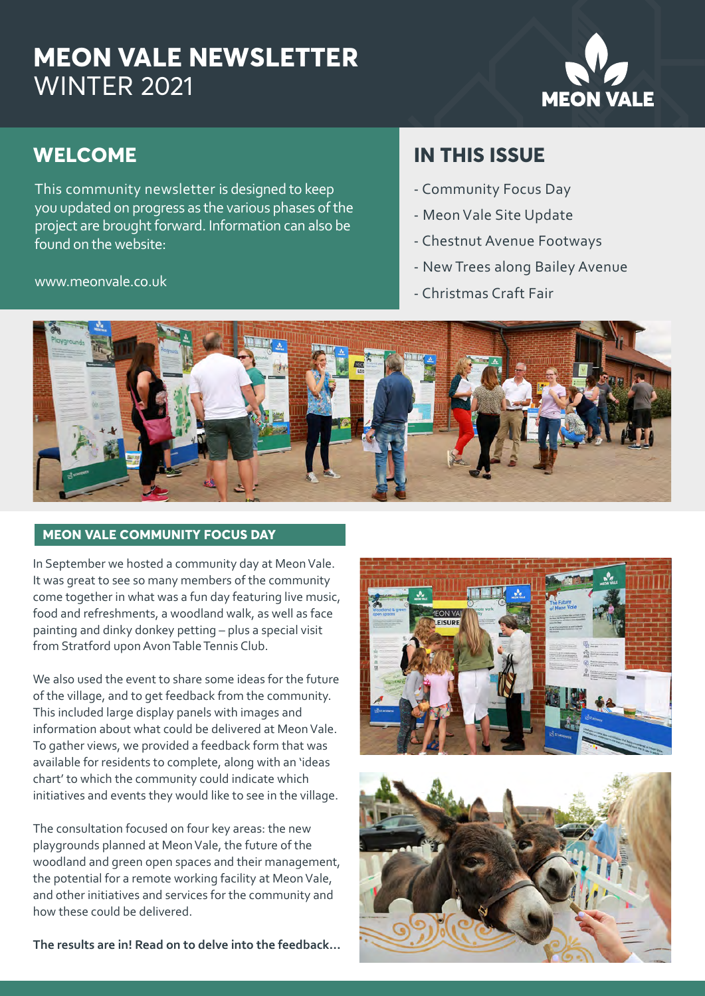## **MEON VALE NEWSLETTER** WINTER 2021

# **MEON VALE**

## **WELCOME**

This community newsletter is designed to keep you updated on progress as the various phases of the project are brought forward. Information can also be found on the website:

www.meonvale.co.uk

### **IN THIS ISSUE**

- Community Focus Day
- Meon Vale Site Update
- Chestnut Avenue Footways
- New Trees along Bailey Avenue
- Christmas Craft Fair



#### **MEON VALE COMMUNITY FOCUS DAY**

In September we hosted a community day at Meon Vale. It was great to see so many members of the community come together in what was a fun day featuring live music, food and refreshments, a woodland walk, as well as face painting and dinky donkey petting – plus a special visit from Stratford upon Avon Table Tennis Club.

We also used the event to share some ideas for the future of the village, and to get feedback from the community. This included large display panels with images and information about what could be delivered at Meon Vale. To gather views, we provided a feedback form that was available for residents to complete, along with an 'ideas chart' to which the community could indicate which initiatives and events they would like to see in the village.

The consultation focused on four key areas: the new playgrounds planned at Meon Vale, the future of the woodland and green open spaces and their management, the potential for a remote working facility at Meon Vale, and other initiatives and services for the community and how these could be delivered.

**The results are in! Read on to delve into the feedback...**



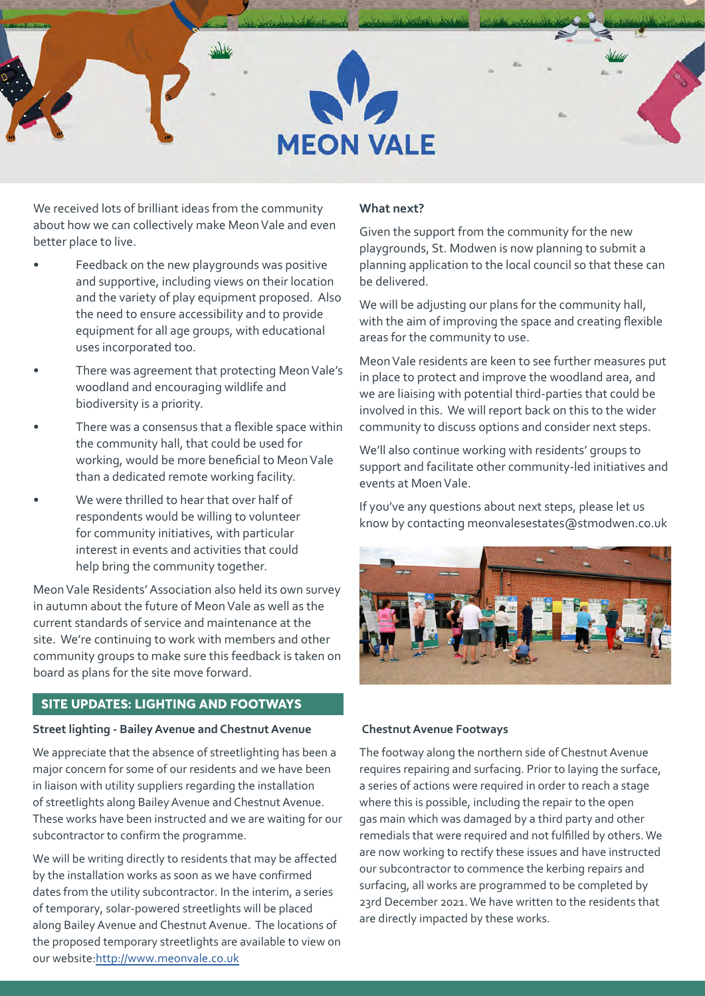

We received lots of brilliant ideas from the community about how we can collectively make Meon Vale and even better place to live.

- Feedback on the new playgrounds was positive and supportive, including views on their location and the variety of play equipment proposed. Also the need to ensure accessibility and to provide equipment for all age groups, with educational uses incorporated too.
- There was agreement that protecting Meon Vale's woodland and encouraging wildlife and biodiversity is a priority.
- There was a consensus that a flexible space within the community hall, that could be used for working, would be more beneficial to Meon Vale than a dedicated remote working facility.
- We were thrilled to hear that over half of respondents would be willing to volunteer for community initiatives, with particular interest in events and activities that could help bring the community together.

Meon Vale Residents' Association also held its own survey in autumn about the future of Meon Vale as well as the current standards of service and maintenance at the site. We're continuing to work with members and other community groups to make sure this feedback is taken on board as plans for the site move forward.

#### **SITE UPDATES: LIGHTING AND FOOTWAYS**

#### **Street lighting - Bailey Avenue and Chestnut Avenue**

We appreciate that the absence of streetlighting has been a major concern for some of our residents and we have been in liaison with utility suppliers regarding the installation of streetlights along Bailey Avenue and Chestnut Avenue. These works have been instructed and we are waiting for our subcontractor to confirm the programme.

We will be writing directly to residents that may be affected by the installation works as soon as we have confirmed dates from the utility subcontractor. In the interim, a series of temporary, solar-powered streetlights will be placed along Bailey Avenue and Chestnut Avenue. The locations of the proposed temporary streetlights are available to view on our website:[http://www.meonvale.co.uk](https://www.meonvale.co.uk/downloads/temporary-locations.pdf)

#### **What next?**

Given the support from the community for the new playgrounds, St. Modwen is now planning to submit a planning application to the local council so that these can be delivered.

We will be adjusting our plans for the community hall, with the aim of improving the space and creating flexible areas for the community to use.

Meon Vale residents are keen to see further measures put in place to protect and improve the woodland area, and we are liaising with potential third-parties that could be involved in this. We will report back on this to the wider community to discuss options and consider next steps.

We'll also continue working with residents' groups to support and facilitate other community-led initiatives and events at Moen Vale.

If you've any questions about next steps, please let us know by contacting meonvalesestates@stmodwen.co.uk



#### **Chestnut Avenue Footways**

The footway along the northern side of Chestnut Avenue requires repairing and surfacing. Prior to laying the surface, a series of actions were required in order to reach a stage where this is possible, including the repair to the open gas main which was damaged by a third party and other remedials that were required and not fulfilled by others.We are now working to rectify these issues and have instructed our subcontractor to commence the kerbing repairs and surfacing, all works are programmed to be completed by 23rd December 2021. We have written to the residents that are directly impacted by these works.